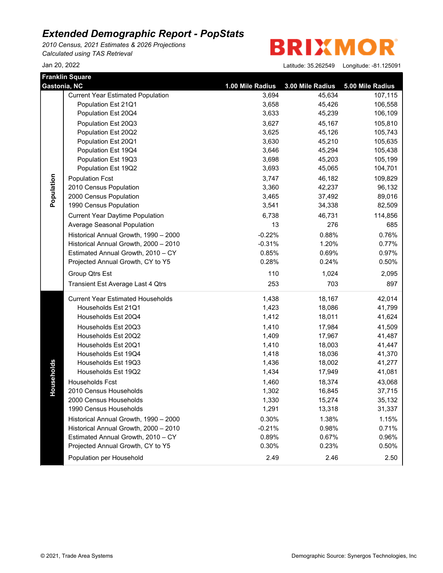*2010 Census, 2021 Estimates & 2026 Projections Calculated using TAS Retrieval*

Jan 20, 2022 **Latitude: 35.26254** 

**BRIXMOR** 

| 49 | Longitude: -81.125091 |  |
|----|-----------------------|--|
|----|-----------------------|--|

|              | Franklin Square                          |                  |                  |                  |
|--------------|------------------------------------------|------------------|------------------|------------------|
| Gastonia, NC |                                          | 1.00 Mile Radius | 3.00 Mile Radius | 5.00 Mile Radius |
|              | <b>Current Year Estimated Population</b> | 3,694            | 45,634           | 107,115          |
|              | Population Est 21Q1                      | 3,658            | 45,426           | 106,558          |
|              | Population Est 20Q4                      | 3,633            | 45,239           | 106,109          |
|              | Population Est 20Q3                      | 3,627            | 45,167           | 105,810          |
|              | Population Est 20Q2                      | 3,625            | 45,126           | 105,743          |
|              | Population Est 20Q1                      | 3,630            | 45,210           | 105,635          |
|              | Population Est 19Q4                      | 3,646            | 45,294           | 105,438          |
|              | Population Est 19Q3                      | 3,698            | 45,203           | 105,199          |
|              | Population Est 19Q2                      | 3,693            | 45,065           | 104,701          |
|              | <b>Population Fcst</b>                   | 3,747            | 46,182           | 109,829          |
|              | 2010 Census Population                   | 3,360            | 42,237           | 96,132           |
| Population   | 2000 Census Population                   | 3,465            | 37,492           | 89,016           |
|              | 1990 Census Population                   | 3,541            | 34,338           | 82,509           |
|              | <b>Current Year Daytime Population</b>   | 6,738            | 46,731           | 114,856          |
|              | Average Seasonal Population              | 13               | 276              | 685              |
|              | Historical Annual Growth, 1990 - 2000    | $-0.22%$         | 0.88%            | 0.76%            |
|              | Historical Annual Growth, 2000 - 2010    | $-0.31%$         | 1.20%            | 0.77%            |
|              | Estimated Annual Growth, 2010 - CY       | 0.85%            | 0.69%            | 0.97%            |
|              | Projected Annual Growth, CY to Y5        | 0.28%            | 0.24%            | 0.50%            |
|              | Group Qtrs Est                           | 110              | 1,024            | 2,095            |
|              | Transient Est Average Last 4 Qtrs        | 253              | 703              | 897              |
|              | <b>Current Year Estimated Households</b> | 1,438            | 18,167           | 42,014           |
|              | Households Est 21Q1                      | 1,423            | 18,086           | 41,799           |
|              | Households Est 20Q4                      | 1,412            | 18,011           | 41,624           |
|              | Households Est 20Q3                      | 1,410            | 17,984           | 41,509           |
|              | Households Est 20Q2                      | 1,409            | 17,967           | 41,487           |
|              | Households Est 20Q1                      | 1,410            | 18,003           | 41,447           |
|              | Households Est 19Q4                      | 1,418            | 18,036           | 41,370           |
|              | Households Est 19Q3                      | 1,436            | 18,002           | 41,277           |
| Households   | Households Est 19Q2                      | 1,434            | 17,949           | 41,081           |
|              | Households Fcst                          | 1,460            | 18,374           | 43,068           |
|              | 2010 Census Households                   | 1,302            | 16,845           | 37,715           |
|              | 2000 Census Households                   | 1,330            | 15,274           | 35,132           |
|              | 1990 Census Households                   | 1,291            | 13,318           | 31,337           |
|              | Historical Annual Growth, 1990 - 2000    | 0.30%            | 1.38%            | 1.15%            |
|              | Historical Annual Growth, 2000 - 2010    | $-0.21%$         | 0.98%            | 0.71%            |
|              | Estimated Annual Growth, 2010 - CY       | 0.89%            | 0.67%            | 0.96%            |
|              | Projected Annual Growth, CY to Y5        | 0.30%            | 0.23%            | 0.50%            |
|              | Population per Household                 | 2.49             | 2.46             | 2.50             |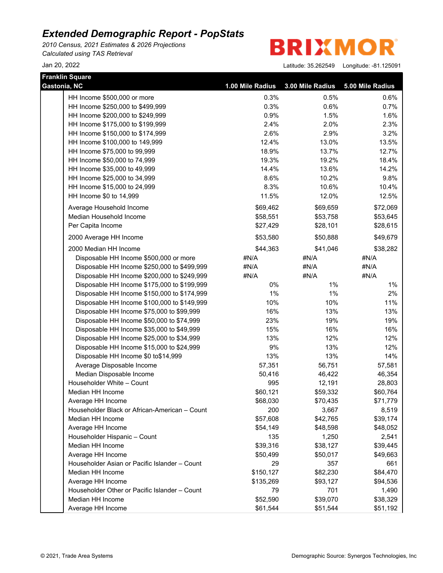*2010 Census, 2021 Estimates & 2026 Projections Calculated using TAS Retrieval*

**BRIXMOR** 

| <b>Franklin Square</b><br>Gastonia, NC        | 1.00 Mile Radius | 3.00 Mile Radius | 5.00 Mile Radius |
|-----------------------------------------------|------------------|------------------|------------------|
|                                               |                  |                  |                  |
| HH Income \$500,000 or more                   | 0.3%             | 0.5%             | 0.6%             |
| HH Income \$250,000 to \$499,999              | 0.3%             | 0.6%             | 0.7%             |
| HH Income \$200,000 to \$249,999              | 0.9%             | 1.5%             | 1.6%             |
| HH Income \$175,000 to \$199,999              | 2.4%             | 2.0%             | 2.3%             |
| HH Income \$150,000 to \$174,999              | 2.6%             | 2.9%             | 3.2%             |
| HH Income \$100,000 to 149,999                | 12.4%            | 13.0%            | 13.5%            |
| HH Income \$75,000 to 99,999                  | 18.9%            | 13.7%            | 12.7%            |
| HH Income \$50,000 to 74,999                  | 19.3%            | 19.2%            | 18.4%            |
| HH Income \$35,000 to 49,999                  | 14.4%            | 13.6%            | 14.2%            |
| HH Income \$25,000 to 34,999                  | 8.6%             | 10.2%            | 9.8%             |
| HH Income \$15,000 to 24,999                  | 8.3%             | 10.6%            | 10.4%            |
| HH Income \$0 to 14,999                       | 11.5%            | 12.0%            | 12.5%            |
| Average Household Income                      | \$69,462         | \$69,659         | \$72,069         |
| Median Household Income                       | \$58,551         | \$53,758         | \$53,645         |
| Per Capita Income                             | \$27,429         | \$28,101         | \$28,615         |
| 2000 Average HH Income                        | \$53,580         | \$50,888         | \$49,679         |
| 2000 Median HH Income                         | \$44,363         | \$41,046         | \$38,282         |
| Disposable HH Income \$500,000 or more        | #N/A             | #N/A             | #N/A             |
| Disposable HH Income \$250,000 to \$499,999   | #N/A             | #N/A             | #N/A             |
| Disposable HH Income \$200,000 to \$249,999   | #N/A             | #N/A             | #N/A             |
| Disposable HH Income \$175,000 to \$199,999   | 0%               | $1\%$            | $1\%$            |
| Disposable HH Income \$150,000 to \$174,999   | $1\%$            | $1\%$            | 2%               |
| Disposable HH Income \$100,000 to \$149,999   | 10%              | 10%              | 11%              |
| Disposable HH Income \$75,000 to \$99,999     | 16%              | 13%              | 13%              |
| Disposable HH Income \$50,000 to \$74,999     | 23%              | 19%              | 19%              |
| Disposable HH Income \$35,000 to \$49,999     | 15%              | 16%              | 16%              |
| Disposable HH Income \$25,000 to \$34,999     | 13%              | 12%              | 12%              |
| Disposable HH Income \$15,000 to \$24,999     | 9%               | 13%              | 12%              |
| Disposable HH Income \$0 to\$14,999           | 13%              | 13%              | 14%              |
| Average Disposable Income                     | 57,351           | 56,751           | 57,581           |
| Median Disposable Income                      | 50,416           | 46,422           | 46,354           |
| Householder White - Count                     | 995              | 12,191           | 28,803           |
| Median HH Income                              | \$60,121         | \$59,332         | \$60,764         |
| Average HH Income                             | \$68,030         | \$70,435         | \$71,779         |
| Householder Black or African-American - Count | 200              | 3,667            | 8,519            |
| Median HH Income                              | \$57,608         | \$42,765         | \$39,174         |
| Average HH Income                             | \$54,149         | \$48,598         | \$48,052         |
| Householder Hispanic - Count                  | 135              | 1,250            | 2,541            |
| Median HH Income                              | \$39,316         | \$38,127         | \$39,445         |
| Average HH Income                             | \$50,499         | \$50,017         | \$49,663         |
| Householder Asian or Pacific Islander - Count | 29               | 357              | 661              |
| Median HH Income                              | \$150,127        | \$82,230         | \$84,470         |
| Average HH Income                             | \$135,269        | \$93,127         | \$94,536         |
| Householder Other or Pacific Islander - Count | 79               | 701              | 1,490            |
| Median HH Income                              | \$52,590         | \$39,070         | \$38,329         |
| Average HH Income                             | \$61,544         | \$51,544         | \$51,192         |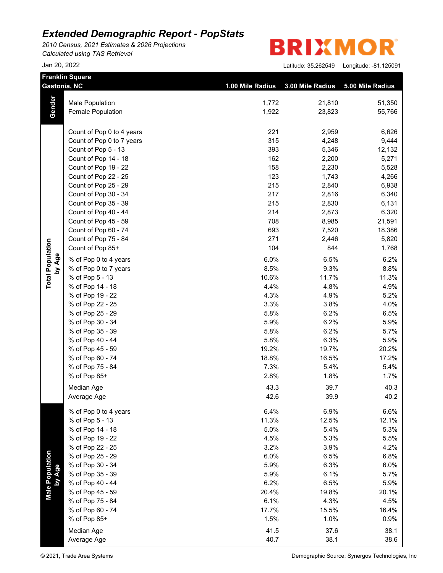*2010 Census, 2021 Estimates & 2026 Projections Calculated using TAS Retrieval*

|                           | <b>Franklin Square</b><br>Gastonia, NC | 1.00 Mile Radius | 3.00 Mile Radius | 5.00 Mile Radius |
|---------------------------|----------------------------------------|------------------|------------------|------------------|
|                           |                                        |                  |                  |                  |
| Gender                    | Male Population                        | 1,772            | 21,810           | 51,350           |
|                           | Female Population                      | 1,922            | 23,823           | 55,766           |
|                           | Count of Pop 0 to 4 years              | 221              | 2,959            | 6,626            |
|                           | Count of Pop 0 to 7 years              | 315              | 4,248            | 9,444            |
|                           | Count of Pop 5 - 13                    | 393              | 5,346            | 12,132           |
|                           | Count of Pop 14 - 18                   | 162              | 2,200            | 5,271            |
|                           | Count of Pop 19 - 22                   | 158              | 2,230            | 5,528            |
|                           | Count of Pop 22 - 25                   | 123              | 1,743            | 4,266            |
|                           | Count of Pop 25 - 29                   | 215              | 2,840            | 6,938            |
|                           | Count of Pop 30 - 34                   | 217              | 2,816            | 6,340            |
|                           | Count of Pop 35 - 39                   | 215              | 2,830            | 6,131            |
|                           | Count of Pop 40 - 44                   | 214              | 2,873            | 6,320            |
|                           | Count of Pop 45 - 59                   | 708              | 8,985            | 21,591           |
|                           | Count of Pop 60 - 74                   | 693              | 7,520            | 18,386           |
|                           | Count of Pop 75 - 84                   | 271              | 2,446            | 5,820            |
|                           | Count of Pop 85+                       | 104              | 844              | 1,768            |
|                           | % of Pop 0 to 4 years                  | 6.0%             | 6.5%             | 6.2%             |
| by Age                    | % of Pop 0 to 7 years                  | 8.5%             | 9.3%             | 8.8%             |
|                           | % of Pop 5 - 13                        | 10.6%            | 11.7%            | 11.3%            |
|                           | % of Pop 14 - 18                       | 4.4%             | 4.8%             | 4.9%             |
|                           | % of Pop 19 - 22                       | 4.3%             | 4.9%             | 5.2%             |
|                           | % of Pop 22 - 25                       | 3.3%             | 3.8%             | 4.0%             |
|                           | % of Pop 25 - 29                       | 5.8%             | 6.2%             | 6.5%             |
|                           | % of Pop 30 - 34                       | 5.9%             | 6.2%             | 5.9%             |
|                           | % of Pop 35 - 39                       | 5.8%             | 6.2%             | 5.7%             |
|                           | % of Pop 40 - 44                       | 5.8%             | 6.3%             | 5.9%             |
|                           | % of Pop 45 - 59                       | 19.2%            | 19.7%            | 20.2%            |
|                           | % of Pop 60 - 74                       | 18.8%            | 16.5%            | 17.2%            |
|                           | % of Pop 75 - 84                       | 7.3%             | 5.4%             | 5.4%             |
|                           | % of Pop 85+                           | 2.8%             | 1.8%             | 1.7%             |
|                           | Median Age                             | 43.3             | 39.7             | 40.3             |
|                           | Average Age                            | 42.6             | 39.9             | 40.2             |
|                           | % of Pop 0 to 4 years                  | 6.4%             | 6.9%             | 6.6%             |
|                           | % of Pop 5 - 13                        | 11.3%            | 12.5%            | 12.1%            |
|                           | % of Pop 14 - 18                       | 5.0%             | 5.4%             | 5.3%             |
|                           | % of Pop 19 - 22                       | 4.5%             | 5.3%             | 5.5%             |
|                           | % of Pop 22 - 25                       | 3.2%             | 3.9%             | 4.2%             |
|                           | % of Pop 25 - 29                       | 6.0%             | 6.5%             | 6.8%             |
|                           | % of Pop 30 - 34                       | 5.9%             | 6.3%             | 6.0%             |
|                           | % of Pop 35 - 39                       | 5.9%             | 6.1%             | 5.7%             |
|                           | % of Pop 40 - 44                       | 6.2%             | 6.5%             | 5.9%             |
| Male Population<br>by Age | % of Pop 45 - 59                       | 20.4%            | 19.8%            | 20.1%            |
|                           | % of Pop 75 - 84                       | 6.1%             | 4.3%             | 4.5%             |
|                           | % of Pop 60 - 74                       | 17.7%            | 15.5%            | 16.4%            |
|                           | % of Pop 85+                           | 1.5%             | 1.0%             | 0.9%             |
|                           | Median Age                             | 41.5             | 37.6             | 38.1             |
|                           | Average Age                            | 40.7             | 38.1             | 38.6             |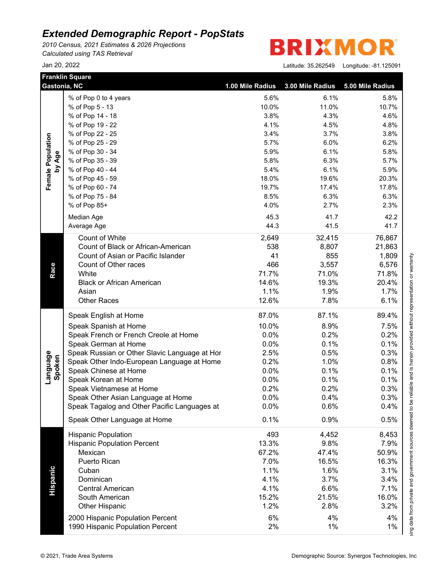*2010 Census, 2021 Estimates & 2026 Projections Calculated using TAS Retrieval*

R **BRIXMO** 

|                    | <b>Franklin Square</b><br>Gastonia, NC                               | 1.00 Mile Radius | 3.00 Mile Radius | 5.00 Mile Radius |
|--------------------|----------------------------------------------------------------------|------------------|------------------|------------------|
|                    | % of Pop 0 to 4 years                                                | 5.6%             | 6.1%             | 5.8%             |
|                    | % of Pop 5 - 13                                                      | 10.0%            | 11.0%            | 10.7%            |
|                    | % of Pop 14 - 18                                                     | 3.8%             | 4.3%             | 4.6%             |
|                    | % of Pop 19 - 22                                                     | 4.1%             | 4.5%             | 4.8%             |
|                    | % of Pop 22 - 25                                                     | 3.4%             | 3.7%             | 3.8%             |
|                    | % of Pop 25 - 29                                                     | 5.7%             | 6.0%             | 6.2%             |
| Female Population  | % of Pop 30 - 34                                                     | 5.9%             | 6.1%             | 5.8%             |
| by Age             | % of Pop 35 - 39                                                     | 5.8%             | 6.3%             | 5.7%             |
|                    | % of Pop 40 - 44                                                     | 5.4%             | 6.1%             | 5.9%             |
|                    | % of Pop 45 - 59                                                     | 18.0%            | 19.6%            | 20.3%            |
|                    | % of Pop 60 - 74                                                     | 19.7%            | 17.4%            | 17.8%            |
|                    | % of Pop 75 - 84                                                     | 8.5%             | 6.3%             | 6.3%             |
|                    | % of Pop 85+                                                         | 4.0%             | 2.7%             | 2.3%             |
|                    | Median Age                                                           | 45.3             | 41.7             | 42.2             |
|                    | Average Age                                                          | 44.3             | 41.5             | 41.7             |
|                    |                                                                      |                  |                  |                  |
|                    | Count of White                                                       | 2,649            | 32,415           | 76,867           |
|                    | Count of Black or African-American                                   | 538              | 8,807            | 21,863           |
|                    | Count of Asian or Pacific Islander                                   | 41               | 855              | 1,809            |
|                    | Count of Other races                                                 | 466              | 3,557            | 6,576            |
|                    | White                                                                | 71.7%            | 71.0%            | 71.8%            |
|                    | <b>Black or African American</b>                                     | 14.6%            | 19.3%            | 20.4%            |
|                    | Asian                                                                | 1.1%             | 1.9%             | 1.7%             |
|                    | <b>Other Races</b>                                                   | 12.6%            | 7.8%             | 6.1%             |
|                    | Speak English at Home                                                | 87.0%            | 87.1%            | 89.4%            |
|                    | Speak Spanish at Home                                                | 10.0%            | 8.9%             | 7.5%             |
|                    | Speak French or French Creole at Home                                | 0.0%             | 0.2%             | 0.2%             |
|                    | Speak German at Home                                                 | 0.0%             | 0.1%             | 0.1%             |
|                    | Speak Russian or Other Slavic Language at Hor                        | 2.5%             | 0.5%             | 0.3%             |
|                    | Speak Other Indo-European Language at Home                           | 0.2%             | 1.0%             | 0.8%             |
|                    | Speak Chinese at Home                                                | 0.0%             | 0.1%             | 0.1%             |
| Language<br>Spoken | Speak Korean at Home                                                 | 0.0%             | 0.1%             | 0.1%             |
|                    | Speak Vietnamese at Home                                             | 0.2%             | 0.2%             | 0.3%             |
|                    | Speak Other Asian Language at Home                                   | 0.0%             | $0.4\%$          | 0.3%             |
|                    | Speak Tagalog and Other Pacific Languages at                         | 0.0%             | 0.6%             | 0.4%             |
|                    | Speak Other Language at Home                                         | 0.1%             | 0.9%             | 0.5%             |
|                    | <b>Hispanic Population</b>                                           | 493              | 4,452            | 8,453            |
|                    | <b>Hispanic Population Percent</b>                                   | 13.3%            | 9.8%             | 7.9%             |
|                    | Mexican                                                              | 67.2%            | 47.4%            | 50.9%            |
|                    | Puerto Rican                                                         | 7.0%             | 16.5%            | 16.3%            |
|                    | Cuban                                                                | 1.1%             | 1.6%             | 3.1%             |
|                    | Dominican                                                            | 4.1%             | 3.7%             | 3.4%             |
|                    | <b>Central American</b>                                              | 4.1%             | 6.6%             | 7.1%             |
| Hispanic           | South American                                                       | 15.2%            | 21.5%            | 16.0%            |
|                    | <b>Other Hispanic</b>                                                | 1.2%             | 2.8%             | 3.2%             |
|                    |                                                                      |                  |                  |                  |
|                    | 2000 Hispanic Population Percent<br>1990 Hispanic Population Percent | 6%               | 4%               | 4%               |
|                    |                                                                      | 2%               | 1%               | 1%               |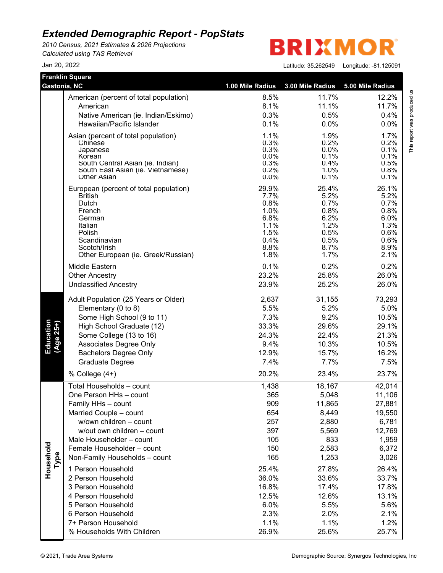*2010 Census, 2021 Estimates & 2026 Projections Calculated using TAS Retrieval*

**Franklin Square**

**BRIXMO** R

Jan 20, 2022 Latitude: 35.262549 Longitude: -81.125091

|        | This report was produced us |
|--------|-----------------------------|
|        |                             |
| Ì      |                             |
|        |                             |
|        |                             |
| )<br>I |                             |
|        |                             |

This report was produced us<br>T

|                        | American (percent of total population)     | 8.5%         | 11.7%        | 12.2%        |
|------------------------|--------------------------------------------|--------------|--------------|--------------|
|                        | American                                   | 8.1%         | 11.1%        | 11.7%        |
|                        | Native American (ie. Indian/Eskimo)        | 0.3%         | 0.5%         | 0.4%         |
|                        | Hawaiian/Pacific Islander                  | 0.1%         | 0.0%         | 0.0%         |
|                        | Asian (percent of total population)        | 1.1%         | 1.9%         | 1.7%         |
|                        | Chinese                                    | 0.3%         | 0.2%         | 0.2%         |
|                        | Japanese                                   | 0.3%         | $0.0\%$      | 0.1%         |
|                        | Korean<br>South Central Asian (ie. Indian) | 0.0%<br>0.3% | 0.1%<br>0.4% | 0.1%<br>0.5% |
|                        | South East Asian (ie. Vietnamese)          | 0.2%         | 1.0%         | 0.8%         |
|                        | <b>Other Asian</b>                         | $0.0\%$      | 0.1%         | 0.1%         |
|                        | European (percent of total population)     | 29.9%        | 25.4%        | 26.1%        |
|                        | <b>British</b>                             | 7.7%         | 5.2%         | 5.2%         |
|                        | Dutch<br>French                            | 0.8%<br>1.0% | 0.7%<br>0.8% | 0.7%<br>0.8% |
|                        | German                                     | 6.8%         | 6.2%         | 6.0%         |
|                        | Italian                                    | 1.1%         | 1.2%         | 1.3%         |
|                        | Polish                                     | 1.5%         | 0.5%         | 0.6%         |
|                        | Scandinavian<br>Scotch/Irish               | 0.4%<br>8.8% | 0.5%<br>8.7% | 0.6%<br>8.9% |
|                        | Other European (ie. Greek/Russian)         | 1.8%         | 1.7%         | 2.1%         |
|                        | Middle Eastern                             | 0.1%         | 0.2%         | 0.2%         |
|                        | <b>Other Ancestry</b>                      | 23.2%        | 25.8%        | 26.0%        |
|                        | <b>Unclassified Ancestry</b>               | 23.9%        | 25.2%        | 26.0%        |
|                        | Adult Population (25 Years or Older)       | 2,637        | 31,155       | 73,293       |
|                        | Elementary (0 to 8)                        | 5.5%         | 5.2%         | 5.0%         |
|                        | Some High School (9 to 11)                 | 7.3%         | 9.2%         | 10.5%        |
| Education<br>(Age 25+) | High School Graduate (12)                  | 33.3%        | 29.6%        | 29.1%        |
|                        | Some College (13 to 16)                    | 24.3%        | 22.4%        | 21.3%        |
|                        | Associates Degree Only                     | 9.4%         | 10.3%        | 10.5%        |
|                        | <b>Bachelors Degree Only</b>               | 12.9%        | 15.7%        | 16.2%        |
|                        | <b>Graduate Degree</b>                     | 7.4%         | 7.7%         | 7.5%         |
|                        | % College (4+)                             | 20.2%        | 23.4%        | 23.7%        |
|                        | Total Households - count                   | 1,438        | 18,167       | 42,014       |
|                        | One Person HHs - count                     | 365          | 5,048        | 11,106       |
|                        | Family HHs - count                         | 909          | 11,865       | 27,881       |
|                        | Married Couple - count                     | 654          | 8,449        | 19,550       |
|                        | w/own children - count                     | 257          | 2,880        | 6,781        |
|                        | w/out own children - count                 | 397          | 5,569        | 12,769       |
|                        | Male Householder - count                   | 105          | 833          | 1,959        |
|                        | Female Householder - count                 | 150          | 2,583        | 6,372        |
| Household<br>Type      | Non-Family Households - count              | 165          | 1,253        | 3,026        |
|                        | 1 Person Household                         | 25.4%        | 27.8%        | 26.4%        |
|                        | 2 Person Household                         | 36.0%        | 33.6%        | 33.7%        |
|                        | 3 Person Household                         | 16.8%        | 17.4%        | 17.8%        |
|                        | 4 Person Household                         | 12.5%        | 12.6%        | 13.1%        |
|                        | 5 Person Household                         | 6.0%         | 5.5%         | 5.6%         |
|                        | 6 Person Household                         | 2.3%         | 2.0%         | 2.1%         |
|                        | 7+ Person Household                        | 1.1%         | 1.1%         | 1.2%         |
|                        | % Households With Children                 | 26.9%        | 25.6%        | 25.7%        |

**Gastonia, NC 1.00 Mile Radius 3.00 Mile Radius 5.00 Mile Radius**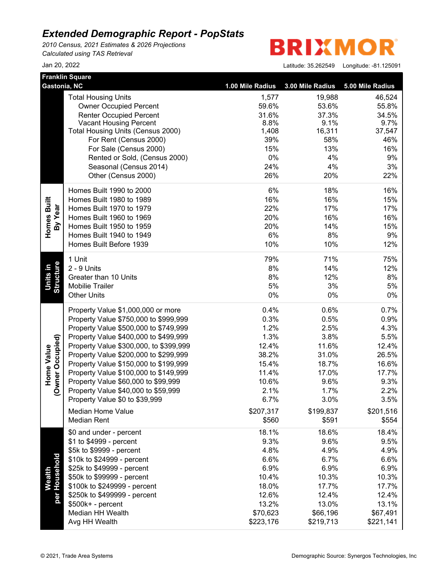*2010 Census, 2021 Estimates & 2026 Projections Calculated using TAS Retrieval*

**BRIXMO** R

| <b>Franklin Square</b>                |                                        |                  |                  |                  |
|---------------------------------------|----------------------------------------|------------------|------------------|------------------|
| Gastonia, NC                          |                                        | 1.00 Mile Radius | 3.00 Mile Radius | 5.00 Mile Radius |
|                                       | <b>Total Housing Units</b>             | 1,577            | 19,988           | 46,524           |
|                                       | <b>Owner Occupied Percent</b>          | 59.6%            | 53.6%            | 55.8%            |
|                                       | <b>Renter Occupied Percent</b>         | 31.6%            | 37.3%            | 34.5%            |
|                                       | <b>Vacant Housing Percent</b>          | 8.8%             | 9.1%             | 9.7%             |
|                                       | Total Housing Units (Census 2000)      | 1,408            | 16,311           | 37,547           |
|                                       | For Rent (Census 2000)                 | 39%              | 58%              | 46%              |
|                                       | For Sale (Census 2000)                 | 15%              | 13%              | 16%              |
|                                       | Rented or Sold, (Census 2000)          | 0%               | 4%               | 9%               |
|                                       | Seasonal (Census 2014)                 | 24%              | 4%               | 3%               |
|                                       | Other (Census 2000)                    | 26%              | 20%              | 22%              |
|                                       | Homes Built 1990 to 2000               | 6%               | 18%              | 16%              |
| Homes Built                           | Homes Built 1980 to 1989               | 16%              | 16%              | 15%              |
| By Year                               | Homes Built 1970 to 1979               | 22%              | 17%              | 17%              |
|                                       | Homes Built 1960 to 1969               | 20%              | 16%              | 16%              |
|                                       | Homes Built 1950 to 1959               | 20%              | 14%              | 15%              |
|                                       | Homes Built 1940 to 1949               | 6%               | 8%               | 9%               |
|                                       | Homes Built Before 1939                | 10%              | 10%              | 12%              |
|                                       | 1 Unit                                 | 79%              | 71%              | 75%              |
|                                       | 2 - 9 Units                            | 8%               | 14%              | 12%              |
| Structure<br>Units in                 | Greater than 10 Units                  | 8%               | 12%              | 8%               |
|                                       | <b>Mobilie Trailer</b>                 | 5%               | 3%               | 5%               |
|                                       | <b>Other Units</b>                     | 0%               | 0%               | 0%               |
|                                       | Property Value \$1,000,000 or more     | 0.4%             | 0.6%             | 0.7%             |
|                                       | Property Value \$750,000 to \$999,999  | 0.3%             | 0.5%             | 0.9%             |
|                                       | Property Value \$500,000 to \$749,999  | 1.2%             | 2.5%             | 4.3%             |
|                                       | Property Value \$400,000 to \$499,999  | 1.3%             | 3.8%             | 5.5%             |
|                                       | Property Value \$300,000, to \$399,999 | 12.4%            | 11.6%            | 12.4%            |
|                                       | Property Value \$200,000 to \$299,999  | 38.2%            | 31.0%            | 26.5%            |
| (Owner Occupied)<br><b>Home Value</b> | Property Value \$150,000 to \$199,999  | 15.4%            | 18.7%            | 16.6%            |
|                                       | Property Value \$100,000 to \$149,999  | 11.4%            | 17.0%            | 17.7%            |
|                                       | Property Value \$60,000 to \$99,999    | 10.6%            | 9.6%             | 9.3%             |
|                                       | Property Value \$40,000 to \$59,999    | 2.1%             | 1.7%             | 2.2%             |
|                                       | Property Value \$0 to \$39,999         | 6.7%             | 3.0%             | 3.5%             |
|                                       | Median Home Value                      | \$207,317        | \$199,837        | \$201,516        |
|                                       | <b>Median Rent</b>                     | \$560            | \$591            | \$554            |
|                                       | \$0 and under - percent                | 18.1%            | 18.6%            | 18.4%            |
|                                       | \$1 to \$4999 - percent                | 9.3%             | 9.6%             | 9.5%             |
|                                       | \$5k to \$9999 - percent               | 4.8%             | 4.9%             | 4.9%             |
|                                       | \$10k to \$24999 - percent             | 6.6%             | 6.7%             | 6.6%             |
|                                       | \$25k to \$49999 - percent             | 6.9%             | 6.9%             | 6.9%             |
| per Household<br>Wealth               | \$50k to \$99999 - percent             | 10.4%            | 10.3%            | 10.3%            |
|                                       | \$100k to \$249999 - percent           | 18.0%            | 17.7%            | 17.7%            |
|                                       | \$250k to \$499999 - percent           | 12.6%            | 12.4%            | 12.4%            |
|                                       | \$500k+ - percent                      | 13.2%            | 13.0%            | 13.1%            |
|                                       | Median HH Wealth                       | \$70,623         | \$66,196         | \$67,491         |
|                                       | Avg HH Wealth                          | \$223,176        | \$219,713        | \$221,141        |
|                                       |                                        |                  |                  |                  |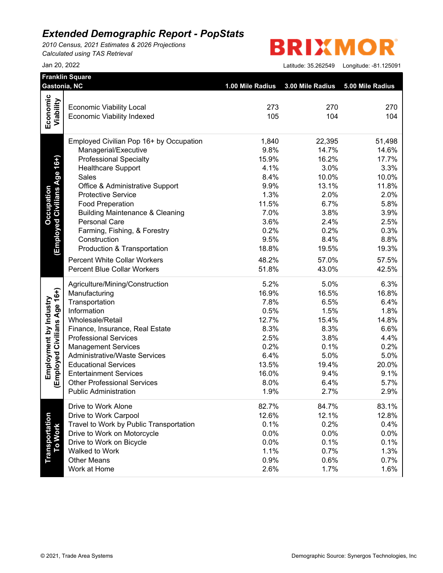*2010 Census, 2021 Estimates & 2026 Projections Calculated using TAS Retrieval*

#### **BRIXMO** R

|                              | <b>Franklin Square</b><br>Gastonia, NC                               | 1.00 Mile Radius | 3.00 Mile Radius | 5.00 Mile Radius |
|------------------------------|----------------------------------------------------------------------|------------------|------------------|------------------|
| Economic                     |                                                                      |                  |                  |                  |
| Viability                    | <b>Economic Viability Local</b><br><b>Economic Viability Indexed</b> | 273<br>105       | 270<br>104       | 270<br>104       |
|                              |                                                                      |                  |                  |                  |
|                              | Employed Civilian Pop 16+ by Occupation                              | 1,840            | 22,395           | 51,498           |
|                              | Managerial/Executive                                                 | 9.8%             | 14.7%            | 14.6%            |
|                              | <b>Professional Specialty</b>                                        | 15.9%            | 16.2%            | 17.7%            |
|                              | <b>Healthcare Support</b>                                            | 4.1%             | 3.0%             | 3.3%             |
| Age 16+)                     | Sales                                                                | 8.4%             | 10.0%            | 10.0%            |
|                              | Office & Administrative Support                                      | 9.9%             | 13.1%            | 11.8%            |
| <b>Employed Civilians</b>    | <b>Protective Service</b>                                            | 1.3%             | 2.0%             | 2.0%             |
|                              | <b>Food Preperation</b>                                              | 11.5%            | 6.7%             | 5.8%             |
|                              | <b>Building Maintenance &amp; Cleaning</b>                           | 7.0%             | 3.8%             | 3.9%             |
|                              | <b>Personal Care</b>                                                 | 3.6%             | 2.4%             | 2.5%             |
|                              | Farming, Fishing, & Forestry                                         | 0.2%             | 0.2%             | 0.3%             |
|                              | Construction                                                         | 9.5%             | 8.4%             | 8.8%             |
|                              | Production & Transportation                                          | 18.8%            | 19.5%            | 19.3%            |
|                              | <b>Percent White Collar Workers</b>                                  | 48.2%            | 57.0%            | 57.5%            |
|                              | <b>Percent Blue Collar Workers</b>                                   | 51.8%            | 43.0%            | 42.5%            |
|                              | Agriculture/Mining/Construction                                      | 5.2%             | 5.0%             | 6.3%             |
|                              | Manufacturing                                                        | 16.9%            | 16.5%            | 16.8%            |
|                              | Transportation                                                       | 7.8%             | 6.5%             | 6.4%             |
|                              | Information                                                          | 0.5%             | 1.5%             | 1.8%             |
|                              | Wholesale/Retail                                                     | 12.7%            | 15.4%            | 14.8%            |
|                              | Finance, Insurance, Real Estate                                      | 8.3%             | 8.3%             | 6.6%             |
|                              | <b>Professional Services</b>                                         | 2.5%             | 3.8%             | 4.4%             |
|                              | <b>Management Services</b>                                           | 0.2%             | 0.1%             | 0.2%             |
|                              | <b>Administrative/Waste Services</b>                                 | 6.4%             | 5.0%             | 5.0%             |
|                              | <b>Educational Services</b>                                          | 13.5%            | 19.4%            | 20.0%            |
| (Employed Civilians Age 16+) | <b>Entertainment Services</b>                                        | 16.0%            | 9.4%             | 9.1%             |
|                              | <b>Other Professional Services</b>                                   | 8.0%             | 6.4%             | 5.7%             |
|                              | <b>Public Administration</b>                                         | 1.9%             | 2.7%             | 2.9%             |
|                              | Drive to Work Alone                                                  | 82.7%            | 84.7%            | 83.1%            |
|                              | Drive to Work Carpool                                                | 12.6%            | 12.1%            | 12.8%            |
|                              | Travel to Work by Public Transportation                              | 0.1%             | 0.2%             | 0.4%             |
|                              | Drive to Work on Motorcycle                                          | 0.0%             | 0.0%             | 0.0%             |
|                              | Drive to Work on Bicycle                                             | 0.0%             | 0.1%             | 0.1%             |
| Transportation<br>To Work    | Walked to Work                                                       | 1.1%             | 0.7%             | 1.3%             |
|                              | <b>Other Means</b>                                                   | 0.9%             | 0.6%             | 0.7%             |
|                              | Work at Home                                                         | 2.6%             | 1.7%             | 1.6%             |